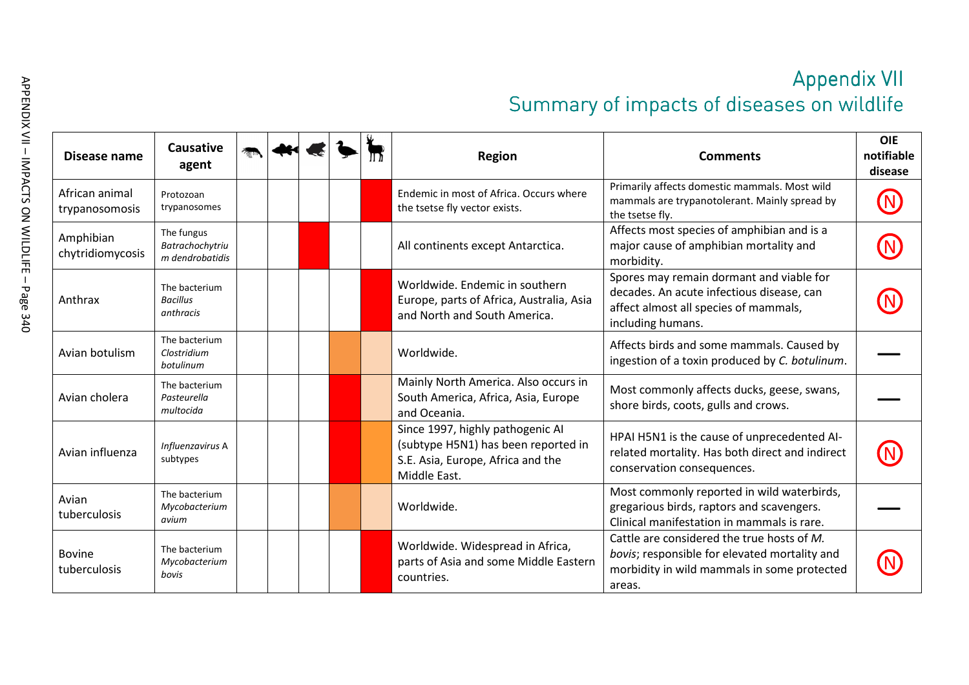|                                  |                                                  |  |  |  |  |  | <b>Appendix VII</b><br>Summary of impacts of diseases on wildlife                                                            |                                                                                                                                                      |                                     |  |  |  |
|----------------------------------|--------------------------------------------------|--|--|--|--|--|------------------------------------------------------------------------------------------------------------------------------|------------------------------------------------------------------------------------------------------------------------------------------------------|-------------------------------------|--|--|--|
| Disease name                     | <b>Causative</b><br>agent                        |  |  |  |  |  | <b>Region</b>                                                                                                                | <b>Comments</b>                                                                                                                                      | <b>OIE</b><br>notifiable<br>disease |  |  |  |
| African animal<br>trypanosomosis | Protozoan<br>trypanosomes                        |  |  |  |  |  | Endemic in most of Africa. Occurs where<br>the tsetse fly vector exists.                                                     | Primarily affects domestic mammals. Most wild<br>mammals are trypanotolerant. Mainly spread by<br>the tsetse fly.                                    |                                     |  |  |  |
| Amphibian<br>chytridiomycosis    | The fungus<br>Batrachochytriu<br>m dendrobatidis |  |  |  |  |  | All continents except Antarctica.                                                                                            | Affects most species of amphibian and is a<br>major cause of amphibian mortality and<br>morbidity.                                                   |                                     |  |  |  |
| Anthrax                          | The bacterium<br><b>Bacillus</b><br>anthracis    |  |  |  |  |  | Worldwide. Endemic in southern<br>Europe, parts of Africa, Australia, Asia<br>and North and South America.                   | Spores may remain dormant and viable for<br>decades. An acute infectious disease, can<br>affect almost all species of mammals,<br>including humans.  |                                     |  |  |  |
| Avian botulism                   | The bacterium<br>Clostridium<br>botulinum        |  |  |  |  |  | Worldwide.                                                                                                                   | Affects birds and some mammals. Caused by<br>ingestion of a toxin produced by C. botulinum.                                                          |                                     |  |  |  |
| Avian cholera                    | The bacterium<br>Pasteurella<br>multocida        |  |  |  |  |  | Mainly North America. Also occurs in<br>South America, Africa, Asia, Europe<br>and Oceania.                                  | Most commonly affects ducks, geese, swans,<br>shore birds, coots, gulls and crows.                                                                   |                                     |  |  |  |
| Avian influenza                  | Influenzavirus A<br>subtypes                     |  |  |  |  |  | Since 1997, highly pathogenic AI<br>(subtype H5N1) has been reported in<br>S.E. Asia, Europe, Africa and the<br>Middle East. | HPAI H5N1 is the cause of unprecedented AI-<br>related mortality. Has both direct and indirect<br>conservation consequences.                         |                                     |  |  |  |
| Avian<br>tuberculosis            | The bacterium<br>Mycobacterium<br>avium          |  |  |  |  |  | Worldwide.                                                                                                                   | Most commonly reported in wild waterbirds,<br>gregarious birds, raptors and scavengers.<br>Clinical manifestation in mammals is rare.                |                                     |  |  |  |
| Bovine<br>tuberculosis           | The bacterium<br>Mycobacterium<br>bovis          |  |  |  |  |  | Worldwide. Widespread in Africa,<br>parts of Asia and some Middle Eastern<br>countries.                                      | Cattle are considered the true hosts of M.<br>bovis; responsible for elevated mortality and<br>morbidity in wild mammals in some protected<br>areas. |                                     |  |  |  |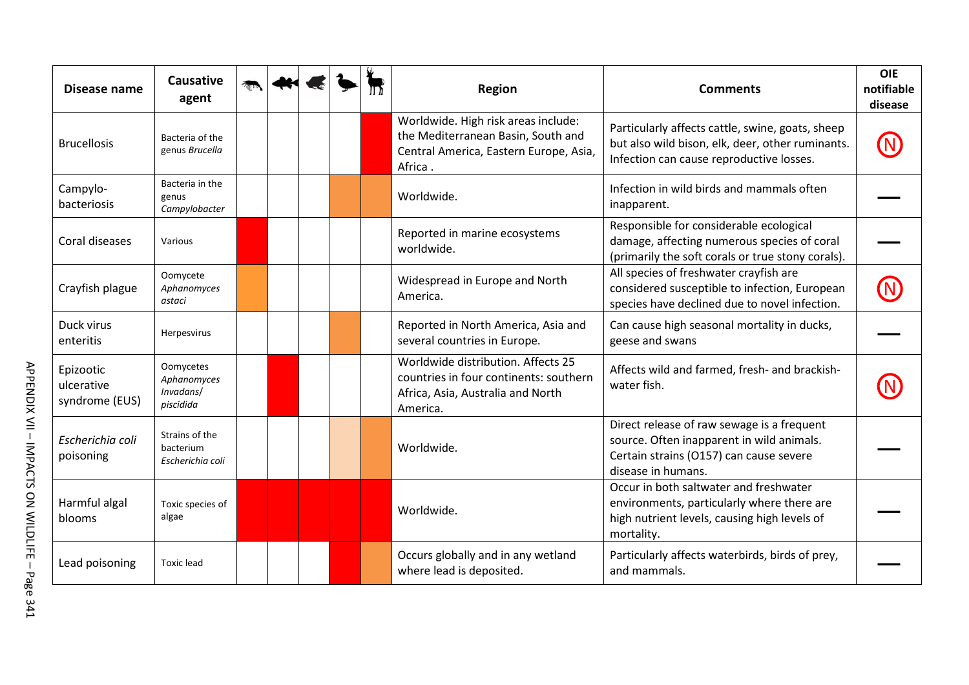| Disease name                              | <b>Causative</b><br>agent                          |  |  | <b>Region</b>                                                                                                                  | <b>Comments</b>                                                                                                                                          | <b>OIE</b><br>notifiable<br>disease |
|-------------------------------------------|----------------------------------------------------|--|--|--------------------------------------------------------------------------------------------------------------------------------|----------------------------------------------------------------------------------------------------------------------------------------------------------|-------------------------------------|
| <b>Brucellosis</b>                        | Bacteria of the<br>genus Brucella                  |  |  | Worldwide. High risk areas include:<br>the Mediterranean Basin, South and<br>Central America, Eastern Europe, Asia,<br>Africa. | Particularly affects cattle, swine, goats, sheep<br>but also wild bison, elk, deer, other ruminants.<br>Infection can cause reproductive losses.         |                                     |
| Campylo-<br>bacteriosis                   | Bacteria in the<br>genus<br>Campylobacter          |  |  | Worldwide.                                                                                                                     | Infection in wild birds and mammals often<br>inapparent.                                                                                                 |                                     |
| Coral diseases                            | Various                                            |  |  | Reported in marine ecosystems<br>worldwide.                                                                                    | Responsible for considerable ecological<br>damage, affecting numerous species of coral<br>(primarily the soft corals or true stony corals).              |                                     |
| Crayfish plague                           | Oomycete<br>Aphanomyces<br>astaci                  |  |  | Widespread in Europe and North<br>America.                                                                                     | All species of freshwater crayfish are<br>considered susceptible to infection, European<br>species have declined due to novel infection.                 |                                     |
| Duck virus<br>enteritis                   | Herpesvirus                                        |  |  | Reported in North America, Asia and<br>several countries in Europe.                                                            | Can cause high seasonal mortality in ducks,<br>geese and swans                                                                                           |                                     |
| Epizootic<br>ulcerative<br>syndrome (EUS) | Oomycetes<br>Aphanomyces<br>Invadans/<br>piscidida |  |  | Worldwide distribution. Affects 25<br>countries in four continents: southern<br>Africa, Asia, Australia and North<br>America.  | Affects wild and farmed, fresh- and brackish-<br>water fish.                                                                                             |                                     |
| Escherichia coli<br>poisoning             | Strains of the<br>bacterium<br>Escherichia coli    |  |  | Worldwide.                                                                                                                     | Direct release of raw sewage is a frequent<br>source. Often inapparent in wild animals.<br>Certain strains (O157) can cause severe<br>disease in humans. |                                     |
| Harmful algal<br>blooms                   | Toxic species of<br>algae                          |  |  | Worldwide.                                                                                                                     | Occur in both saltwater and freshwater<br>environments, particularly where there are<br>high nutrient levels, causing high levels of<br>mortality.       |                                     |
| Lead poisoning                            | <b>Toxic lead</b>                                  |  |  | Occurs globally and in any wetland<br>where lead is deposited.                                                                 | Particularly affects waterbirds, birds of prey,<br>and mammals.                                                                                          |                                     |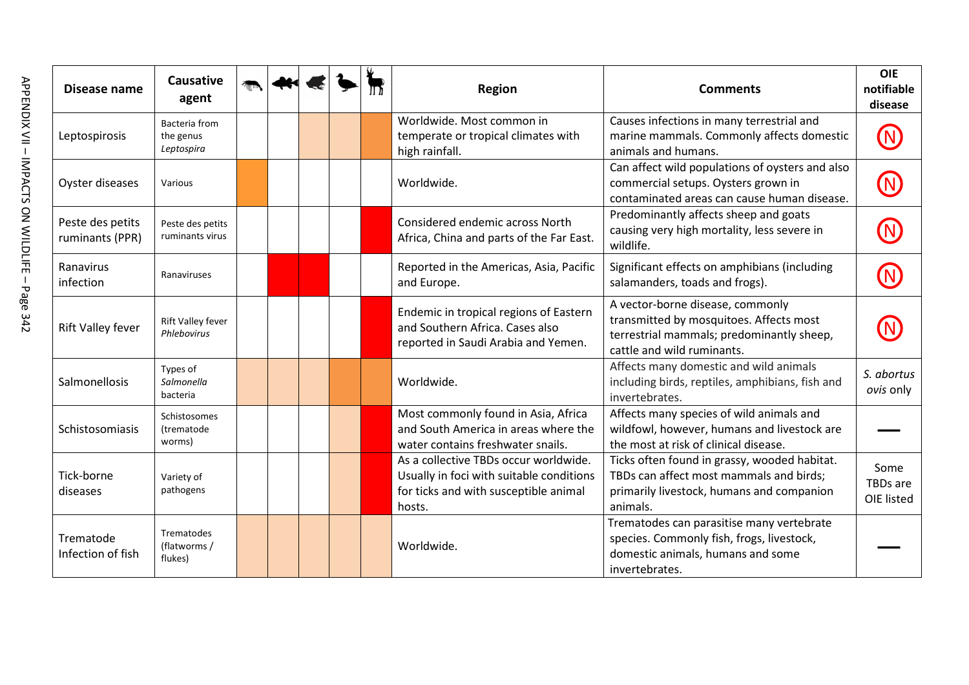| Disease name                        | <b>Causative</b><br>agent                   |  |  | <b>Region</b>                                                                                                                        | <b>Comments</b>                                                                                                                                        | <b>OIE</b><br>notifiable<br>disease   |
|-------------------------------------|---------------------------------------------|--|--|--------------------------------------------------------------------------------------------------------------------------------------|--------------------------------------------------------------------------------------------------------------------------------------------------------|---------------------------------------|
| Leptospirosis                       | Bacteria from<br>the genus<br>Leptospira    |  |  | Worldwide. Most common in<br>temperate or tropical climates with<br>high rainfall.                                                   | Causes infections in many terrestrial and<br>marine mammals. Commonly affects domestic<br>animals and humans.                                          |                                       |
| Oyster diseases                     | Various                                     |  |  | Worldwide.                                                                                                                           | Can affect wild populations of oysters and also<br>commercial setups. Oysters grown in<br>contaminated areas can cause human disease.                  |                                       |
| Peste des petits<br>ruminants (PPR) | Peste des petits<br>ruminants virus         |  |  | Considered endemic across North<br>Africa, China and parts of the Far East.                                                          | Predominantly affects sheep and goats<br>causing very high mortality, less severe in<br>wildlife.                                                      |                                       |
| Ranavirus<br>infection              | Ranaviruses                                 |  |  | Reported in the Americas, Asia, Pacific<br>and Europe.                                                                               | Significant effects on amphibians (including<br>salamanders, toads and frogs).                                                                         |                                       |
| Rift Valley fever                   | <b>Rift Valley fever</b><br>Phlebovirus     |  |  | Endemic in tropical regions of Eastern<br>and Southern Africa. Cases also<br>reported in Saudi Arabia and Yemen.                     | A vector-borne disease, commonly<br>transmitted by mosquitoes. Affects most<br>terrestrial mammals; predominantly sheep,<br>cattle and wild ruminants. |                                       |
| Salmonellosis                       | Types of<br>Salmonella<br>bacteria          |  |  | Worldwide.                                                                                                                           | Affects many domestic and wild animals<br>including birds, reptiles, amphibians, fish and<br>invertebrates.                                            | S. abortus<br>ovis only               |
| Schistosomiasis                     | Schistosomes<br>(trematode<br>worms)        |  |  | Most commonly found in Asia, Africa<br>and South America in areas where the<br>water contains freshwater snails.                     | Affects many species of wild animals and<br>wildfowl, however, humans and livestock are<br>the most at risk of clinical disease.                       |                                       |
| Tick-borne<br>diseases              | Variety of<br>pathogens                     |  |  | As a collective TBDs occur worldwide.<br>Usually in foci with suitable conditions<br>for ticks and with susceptible animal<br>hosts. | Ticks often found in grassy, wooded habitat.<br>TBDs can affect most mammals and birds;<br>primarily livestock, humans and companion<br>animals.       | Some<br><b>TBDs</b> are<br>OIE listed |
| Trematode<br>Infection of fish      | <b>Trematodes</b><br>(flatworms/<br>flukes) |  |  | Worldwide.                                                                                                                           | Trematodes can parasitise many vertebrate<br>species. Commonly fish, frogs, livestock,<br>domestic animals, humans and some<br>invertebrates.          |                                       |